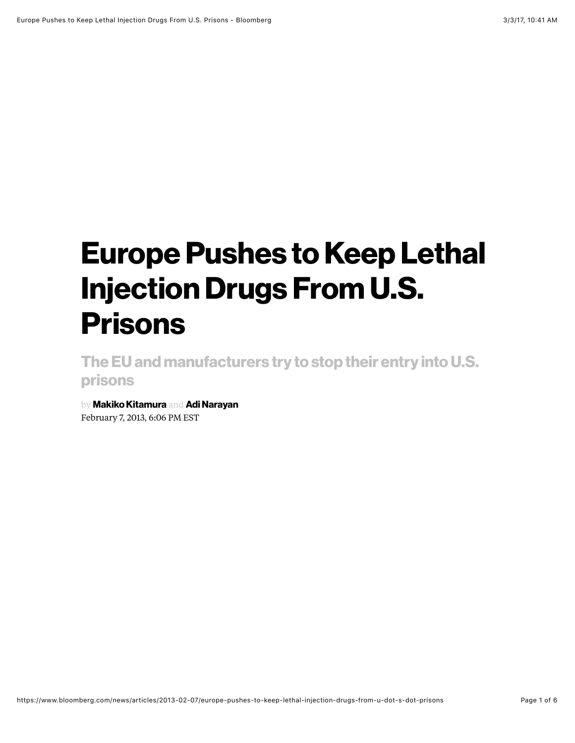## Europe Pushes to Keep Lethal Injection Drugs From U.S. Prisons

The EU and manufacturers try to stop their entry into U.S. prisons

by **Makiko Kitamura** and **Adi Narayan** February 7, 2013, 6:06 PM EST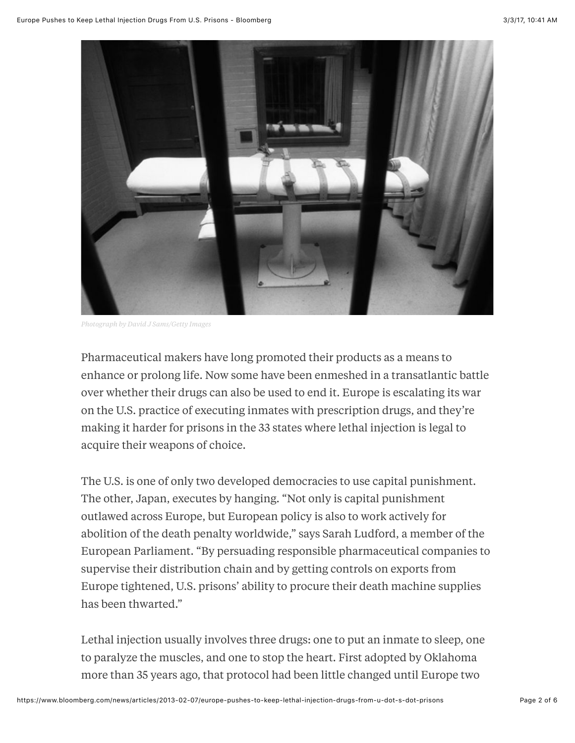

*Photograph by David J Sams/Getty Images*

Pharmaceutical makers have long promoted their products as a means to enhance or prolong life. Now some have been enmeshed in a transatlantic battle over whether their drugs can also be used to end it. Europe is escalating its war on the U.S. practice of executing inmates with prescription drugs, and they're making it harder for prisons in the 33 states where lethal injection is legal to acquire their weapons of choice.

The U.S. is one of only two developed democracies to use capital punishment. The other, Japan, executes by hanging. "Not only is capital punishment outlawed across Europe, but European policy is also to work actively for abolition of the death penalty worldwide," says Sarah Ludford, a member of the European Parliament. "By persuading responsible pharmaceutical companies to supervise their distribution chain and by getting controls on exports from Europe tightened, U.S. prisons' ability to procure their death machine supplies has been thwarted."

Lethal injection usually involves three drugs: one to put an inmate to sleep, one to paralyze the muscles, and one to stop the heart. First adopted by Oklahoma more than 35 years ago, that protocol had been little changed until Europe two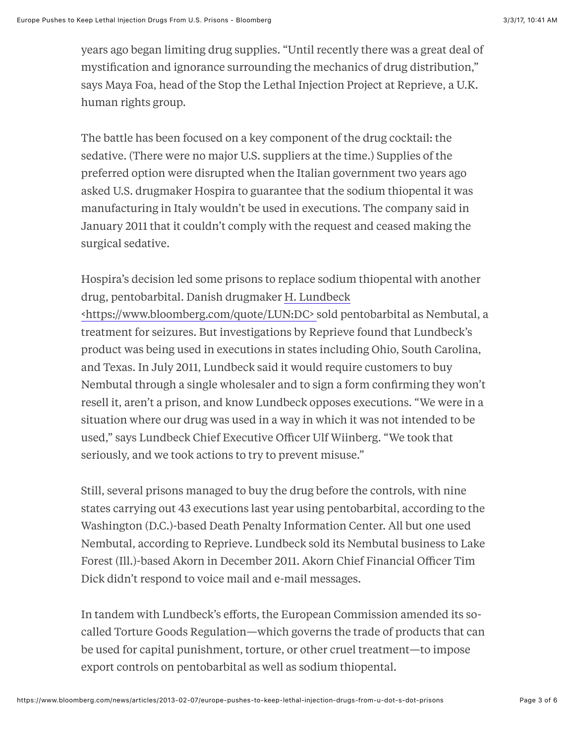years ago began limiting drug supplies. "Until recently there was a great deal of mystification and ignorance surrounding the mechanics of drug distribution," says Maya Foa, head of the Stop the Lethal Injection Project at Reprieve, a U.K. human rights group.

The battle has been focused on a key component of the drug cocktail: the sedative. (There were no major U.S. suppliers at the time.) Supplies of the preferred option were disrupted when the Italian government two years ago asked U.S. drugmaker Hospira to guarantee that the sodium thiopental it was manufacturing in Italy wouldn't be used in executions. The company said in January 2011 that it couldn't comply with the request and ceased making the surgical sedative.

Hospira's decision led some prisons to replace sodium thiopental with another [drug, pentobarbital. Danish drugmaker H. Lundbeck](https://www.bloomberg.com/quote/LUN:DC) <https://www.bloomberg.com/quote/LUN:DC> sold pentobarbital as Nembutal, a treatment for seizures. But investigations by Reprieve found that Lundbeck's product was being used in executions in states including Ohio, South Carolina, and Texas. In July 2011, Lundbeck said it would require customers to buy Nembutal through a single wholesaler and to sign a form confirming they won't resell it, aren't a prison, and know Lundbeck opposes executions. "We were in a situation where our drug was used in a way in which it was not intended to be used," says Lundbeck Chief Executive Officer Ulf Wiinberg. "We took that seriously, and we took actions to try to prevent misuse."

Still, several prisons managed to buy the drug before the controls, with nine states carrying out 43 executions last year using pentobarbital, according to the Washington (D.C.)-based Death Penalty Information Center. All but one used Nembutal, according to Reprieve. Lundbeck sold its Nembutal business to Lake Forest (Ill.)-based Akorn in December 2011. Akorn Chief Financial Officer Tim Dick didn't respond to voice mail and e-mail messages.

In tandem with Lundbeck's efforts, the European Commission amended its socalled Torture Goods Regulation—which governs the trade of products that can be used for capital punishment, torture, or other cruel treatment—to impose export controls on pentobarbital as well as sodium thiopental.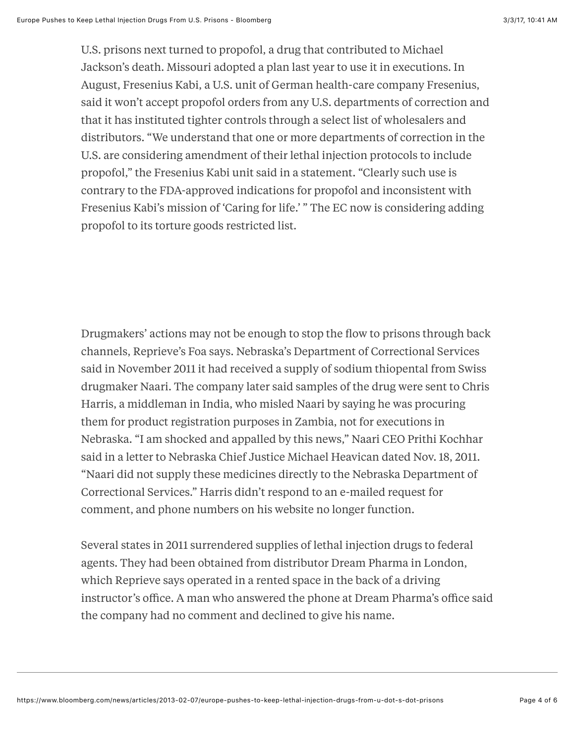U.S. prisons next turned to propofol, a drug that contributed to Michael Jackson's death. Missouri adopted a plan last year to use it in executions. In August, Fresenius Kabi, a U.S. unit of German health-care company Fresenius, said it won't accept propofol orders from any U.S. departments of correction and that it has instituted tighter controls through a select list of wholesalers and distributors. "We understand that one or more departments of correction in the U.S. are considering amendment of their lethal injection protocols to include propofol," the Fresenius Kabi unit said in a statement. "Clearly such use is contrary to the FDA-approved indications for propofol and inconsistent with Fresenius Kabi's mission of 'Caring for life.' " The EC now is considering adding propofol to its torture goods restricted list.

Drugmakers' actions may not be enough to stop the flow to prisons through back channels, Reprieve's Foa says. Nebraska's Department of Correctional Services said in November 2011 it had received a supply of sodium thiopental from Swiss drugmaker Naari. The company later said samples of the drug were sent to Chris Harris, a middleman in India, who misled Naari by saying he was procuring them for product registration purposes in Zambia, not for executions in Nebraska. "I am shocked and appalled by this news," Naari CEO Prithi Kochhar said in a letter to Nebraska Chief Justice Michael Heavican dated Nov. 18, 2011. "Naari did not supply these medicines directly to the Nebraska Department of Correctional Services." Harris didn't respond to an e-mailed request for comment, and phone numbers on his website no longer function.

Several states in 2011 surrendered supplies of lethal injection drugs to federal agents. They had been obtained from distributor Dream Pharma in London, which Reprieve says operated in a rented space in the back of a driving instructor's office. A man who answered the phone at Dream Pharma's office said the company had no comment and declined to give his name.